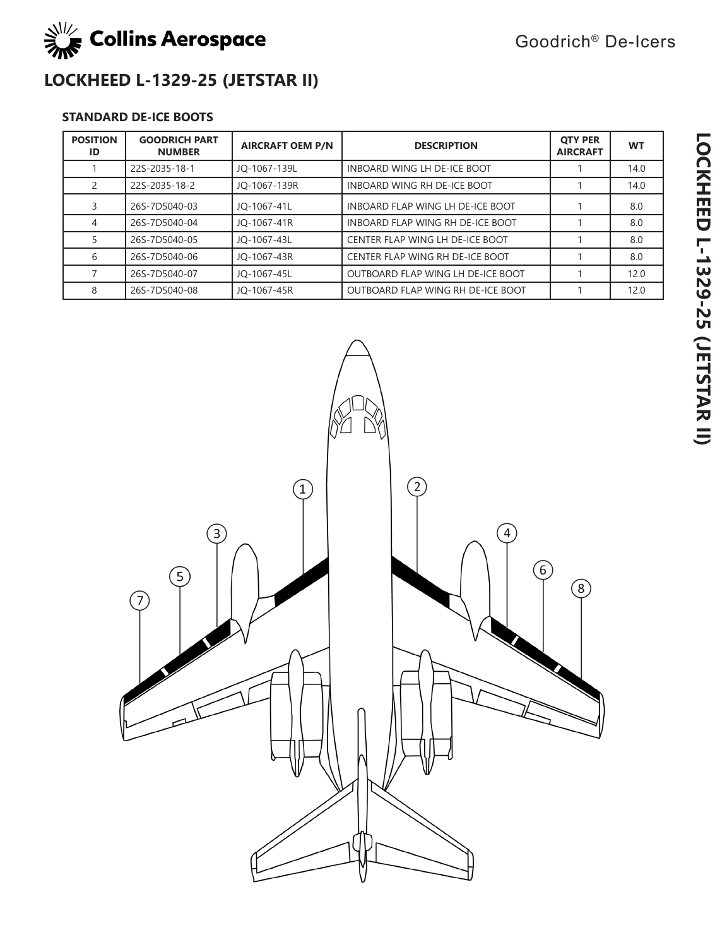

Goodrich® De-Icers

# **LOCKHEED L-1329-25 (JETSTAR II)**

### **STANDARD DE-ICE BOOTS**

| <b>POSITION</b><br>ID | <b>GOODRICH PART</b><br><b>NUMBER</b> | <b>AIRCRAFT OEM P/N</b> | <b>DESCRIPTION</b>                | <b>OTY PER</b><br><b>AIRCRAFT</b> | <b>WT</b> |
|-----------------------|---------------------------------------|-------------------------|-----------------------------------|-----------------------------------|-----------|
|                       | 22S-2035-18-1                         | JO-1067-139L            | INBOARD WING LH DE-ICE BOOT       |                                   | 14.0      |
|                       | 22S-2035-18-2                         | JO-1067-139R            | INBOARD WING RH DE-ICE BOOT       |                                   | 14.0      |
|                       | 26S-7D5040-03                         | JO-1067-41L             | INBOARD FLAP WING LH DE-ICE BOOT  |                                   | 8.0       |
| 4                     | 26S-7D5040-04                         | JO-1067-41R             | INBOARD FLAP WING RH DE-ICE BOOT  |                                   | 8.0       |
|                       | 26S-7D5040-05                         | JO-1067-43L             | CENTER FLAP WING LH DE-ICE BOOT   |                                   | 8.0       |
| 6                     | 26S-7D5040-06                         | JO-1067-43R             | CENTER FLAP WING RH DE-ICE BOOT   |                                   | 8.0       |
|                       | 26S-7D5040-07                         | JO-1067-45L             | OUTBOARD FLAP WING LH DE-ICE BOOT |                                   | 12.0      |
| 8                     | 26S-7D5040-08                         | JO-1067-45R             | OUTBOARD FLAP WING RH DE-ICE BOOT |                                   | 12.0      |

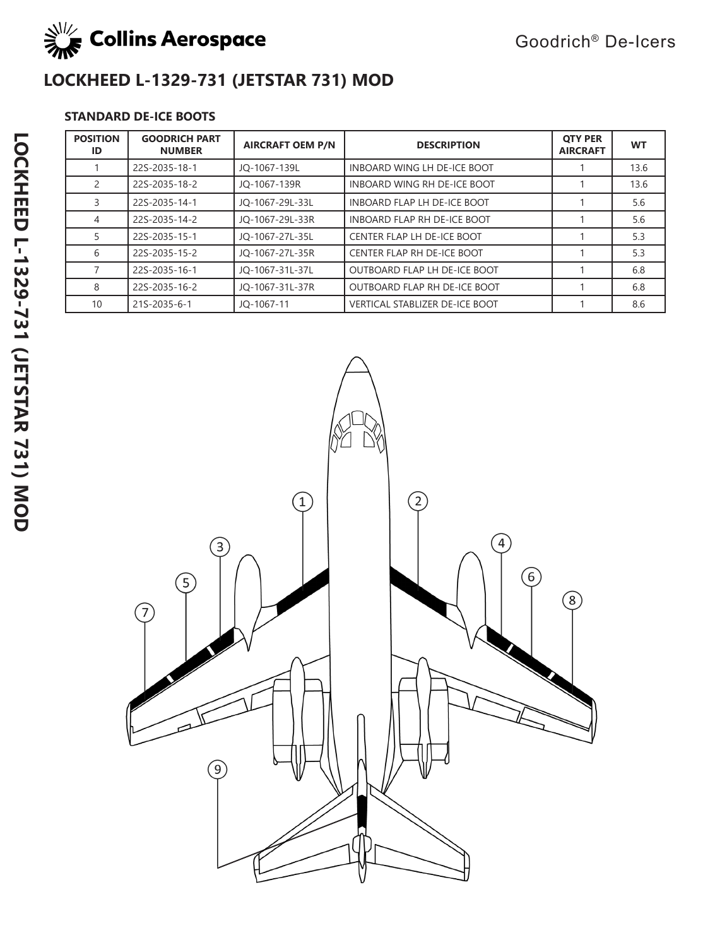

# **LOCKHEED L-1329-731 (JETSTAR 731) MOD**

### **STANDARD DE-ICE BOOTS**

| <b>POSITION</b><br>ID | <b>GOODRICH PART</b><br><b>NUMBER</b> | <b>AIRCRAFT OEM P/N</b> | <b>DESCRIPTION</b>                    | <b>OTY PER</b><br><b>AIRCRAFT</b> | <b>WT</b> |
|-----------------------|---------------------------------------|-------------------------|---------------------------------------|-----------------------------------|-----------|
|                       | 22S-2035-18-1                         | JO-1067-139L            | INBOARD WING LH DE-ICE BOOT           |                                   | 13.6      |
| 2                     | 22S-2035-18-2                         | JO-1067-139R            | INBOARD WING RH DE-ICE BOOT           |                                   | 13.6      |
| 3                     | 22S-2035-14-1                         | JO-1067-29L-33L         | INBOARD FLAP LH DE-ICE BOOT           |                                   | 5.6       |
| 4                     | 22S-2035-14-2                         | JO-1067-29L-33R         | INBOARD FLAP RH DE-ICE BOOT           |                                   | 5.6       |
| 5.                    | 22S-2035-15-1                         | JO-1067-27L-35L         | CENTER FLAP LH DE-ICE BOOT            |                                   | 5.3       |
| 6                     | 22S-2035-15-2                         | JO-1067-27L-35R         | CENTER FLAP RH DE-ICE BOOT            |                                   | 5.3       |
|                       | 22S-2035-16-1                         | JO-1067-31L-37L         | <b>OUTBOARD FLAP LH DE-ICE BOOT</b>   |                                   | 6.8       |
| 8                     | 22S-2035-16-2                         | JO-1067-31L-37R         | OUTBOARD FLAP RH DE-ICE BOOT          |                                   | 6.8       |
| 10                    | 21S-2035-6-1                          | JO-1067-11              | <b>VERTICAL STABLIZER DE-ICE BOOT</b> |                                   | 8.6       |